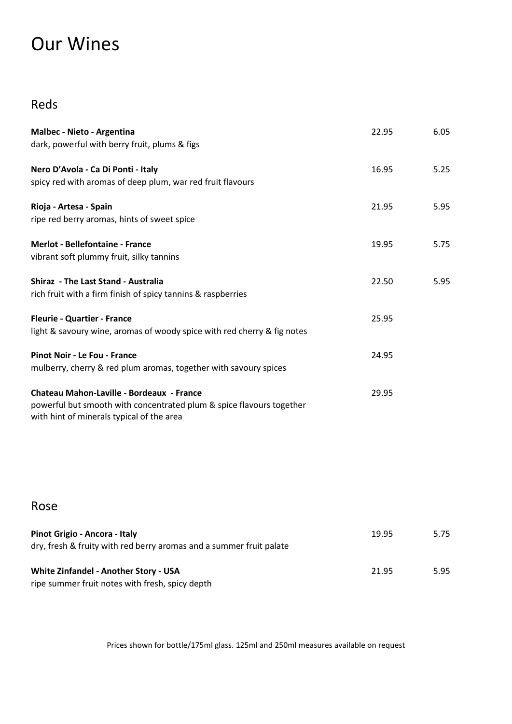## Our Wines

## Reds

| Malbec - Nieto - Argentina<br>dark, powerful with berry fruit, plums & figs                                                                                    | 22.95 | 6.05 |
|----------------------------------------------------------------------------------------------------------------------------------------------------------------|-------|------|
| Nero D'Avola - Ca Di Ponti - Italy<br>spicy red with aromas of deep plum, war red fruit flavours                                                               | 16.95 | 5.25 |
| Rioja - Artesa - Spain<br>ripe red berry aromas, hints of sweet spice                                                                                          | 21.95 | 5.95 |
| <b>Merlot - Bellefontaine - France</b><br>vibrant soft plummy fruit, silky tannins                                                                             | 19.95 | 5.75 |
| <b>Shiraz - The Last Stand - Australia</b><br>rich fruit with a firm finish of spicy tannins & raspberries                                                     | 22.50 | 5.95 |
| <b>Fleurie - Quartier - France</b><br>light & savoury wine, aromas of woody spice with red cherry & fig notes                                                  | 25.95 |      |
| <b>Pinot Noir - Le Fou - France</b><br>mulberry, cherry & red plum aromas, together with savoury spices                                                        | 24.95 |      |
| Chateau Mahon-Laville - Bordeaux - France<br>powerful but smooth with concentrated plum & spice flavours together<br>with hint of minerals typical of the area | 29.95 |      |

## Rose

| Pinot Grigio - Ancora - Italy<br>dry, fresh & fruity with red berry aromas and a summer fruit palate | 19.95 | 5.75 |
|------------------------------------------------------------------------------------------------------|-------|------|
| White Zinfandel - Another Story - USA<br>ripe summer fruit notes with fresh, spicy depth             | 21.95 | 5.95 |

Prices shown for bottle/175ml glass. 125ml and 250ml measures available on request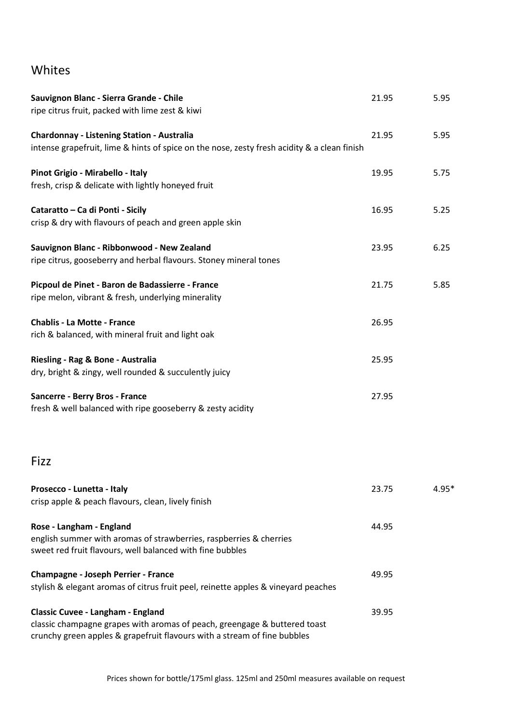## Whites

| Sauvignon Blanc - Sierra Grande - Chile                                                                                         | 21.95 | 5.95  |
|---------------------------------------------------------------------------------------------------------------------------------|-------|-------|
| ripe citrus fruit, packed with lime zest & kiwi                                                                                 |       |       |
| <b>Chardonnay - Listening Station - Australia</b>                                                                               | 21.95 | 5.95  |
| intense grapefruit, lime & hints of spice on the nose, zesty fresh acidity & a clean finish                                     |       |       |
| Pinot Grigio - Mirabello - Italy                                                                                                | 19.95 | 5.75  |
| fresh, crisp & delicate with lightly honeyed fruit                                                                              |       |       |
| Cataratto - Ca di Ponti - Sicily                                                                                                | 16.95 | 5.25  |
| crisp & dry with flavours of peach and green apple skin                                                                         |       |       |
| Sauvignon Blanc - Ribbonwood - New Zealand                                                                                      | 23.95 | 6.25  |
| ripe citrus, gooseberry and herbal flavours. Stoney mineral tones                                                               |       |       |
| Picpoul de Pinet - Baron de Badassierre - France                                                                                | 21.75 | 5.85  |
| ripe melon, vibrant & fresh, underlying minerality                                                                              |       |       |
| <b>Chablis - La Motte - France</b>                                                                                              | 26.95 |       |
| rich & balanced, with mineral fruit and light oak                                                                               |       |       |
| Riesling - Rag & Bone - Australia                                                                                               | 25.95 |       |
| dry, bright & zingy, well rounded & succulently juicy                                                                           |       |       |
| <b>Sancerre - Berry Bros - France</b>                                                                                           | 27.95 |       |
| fresh & well balanced with ripe gooseberry & zesty acidity                                                                      |       |       |
| Fizz                                                                                                                            |       |       |
| Prosecco - Lunetta - Italy                                                                                                      | 23.75 | 4.95* |
| crisp apple & peach flavours, clean, lively finish                                                                              |       |       |
| Rose - Langham - England                                                                                                        | 44.95 |       |
| english summer with aromas of strawberries, raspberries & cherries<br>sweet red fruit flavours, well balanced with fine bubbles |       |       |
| <b>Champagne - Joseph Perrier - France</b>                                                                                      | 49.95 |       |
| stylish & elegant aromas of citrus fruit peel, reinette apples & vineyard peaches                                               |       |       |
| <b>Classic Cuvee - Langham - England</b>                                                                                        | 39.95 |       |
| classic champagne grapes with aromas of peach, greengage & buttered toast                                                       |       |       |
| crunchy green apples & grapefruit flavours with a stream of fine bubbles                                                        |       |       |